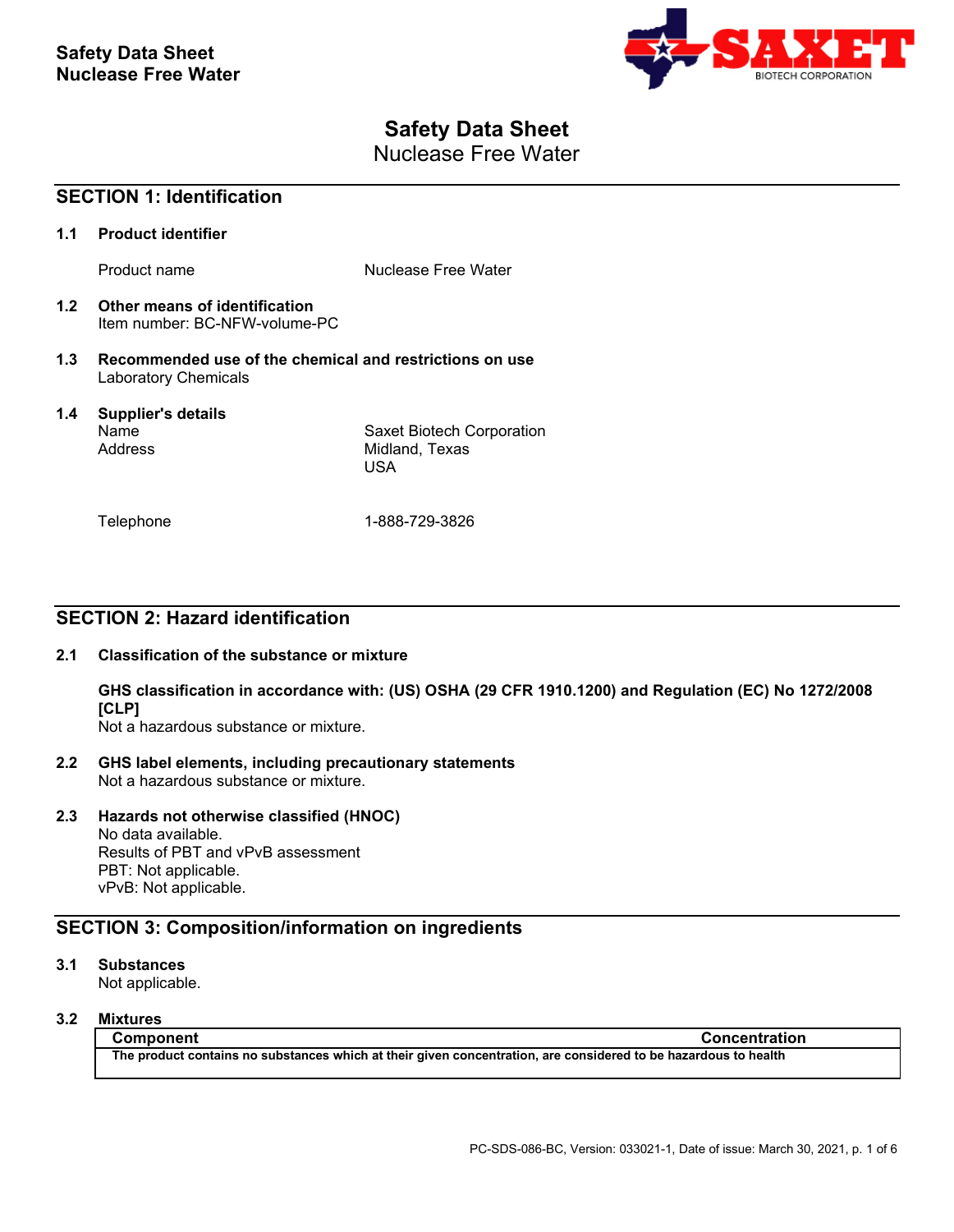

# **Safety Data Sheet**

Nuclease Free Water

| <b>SECTION 1: Identification</b> |                                                                                        |                                                    |
|----------------------------------|----------------------------------------------------------------------------------------|----------------------------------------------------|
| 1.1                              | <b>Product identifier</b>                                                              |                                                    |
|                                  | Product name                                                                           | Nuclease Free Water                                |
| 1.2                              | Other means of identification<br>Item number: BC-NFW-volume-PC                         |                                                    |
| 1.3                              | Recommended use of the chemical and restrictions on use<br><b>Laboratory Chemicals</b> |                                                    |
| $1.4^{\circ}$                    | <b>Supplier's details</b><br>Name<br>Address                                           | Saxet Biotech Corporation<br>Midland, Texas<br>USA |
|                                  | Telephone                                                                              | 1-888-729-3826                                     |

# **SECTION 2: Hazard identification**

## **2.1 Classification of the substance or mixture**

**GHS classification in accordance with: (US) OSHA (29 CFR 1910.1200) and Regulation (EC) No 1272/2008 [CLP]**

Not a hazardous substance or mixture.

**2.2 GHS label elements, including precautionary statements** Not a hazardous substance or mixture.

## **2.3 Hazards not otherwise classified (HNOC)**

No data available. Results of PBT and vPvB assessment PBT: Not applicable. vPvB: Not applicable.

# **SECTION 3: Composition/information on ingredients**

## **3.1 Substances**

Not applicable.

## **3.2 Mixtures**

**Component Concentration The product contains no substances which at their given concentration, are considered to be hazardous to health**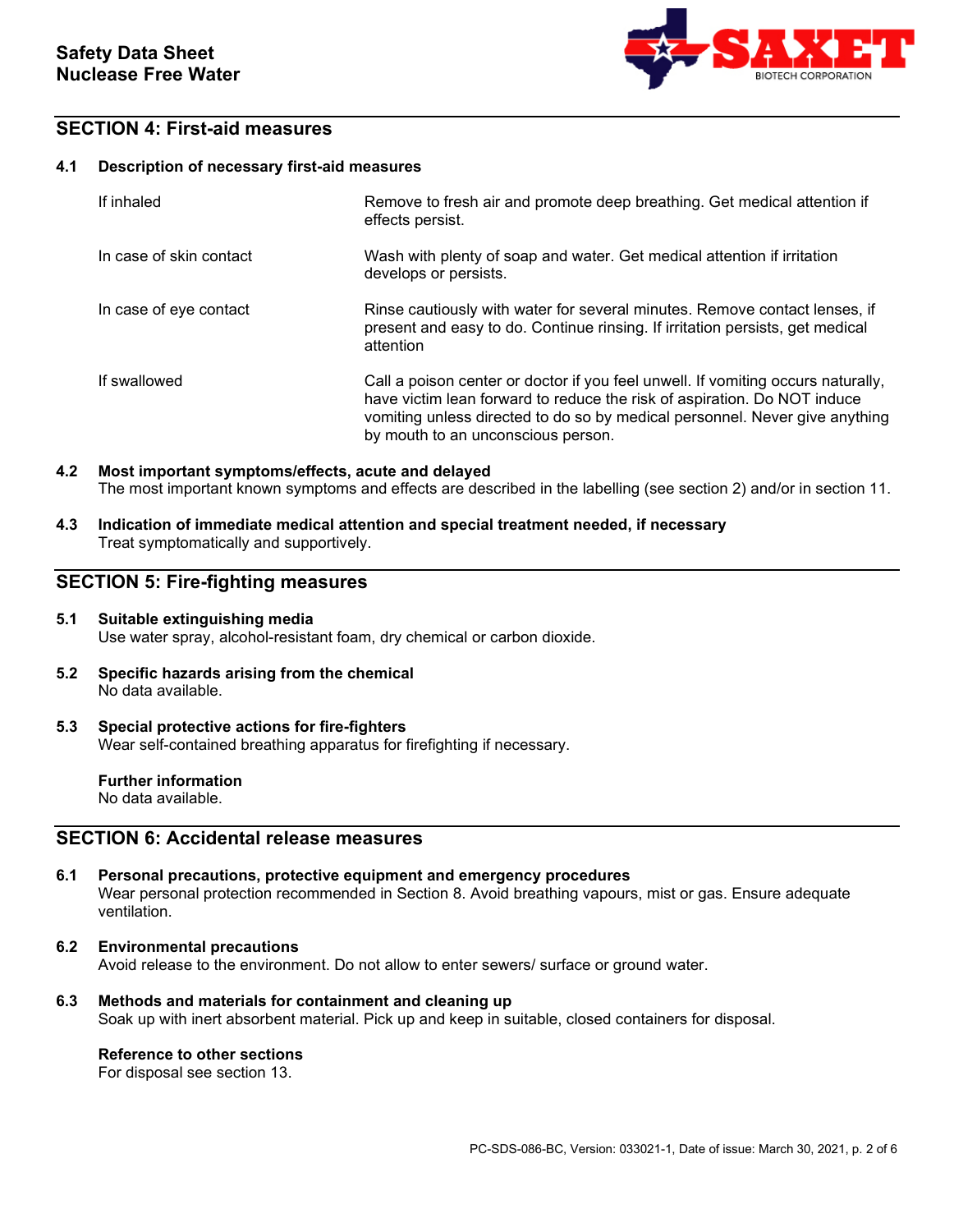

# **SECTION 4: First-aid measures**

### **4.1 Description of necessary first-aid measures**

| If inhaled              | Remove to fresh air and promote deep breathing. Get medical attention if<br>effects persist.                                                                                                                                                                                      |
|-------------------------|-----------------------------------------------------------------------------------------------------------------------------------------------------------------------------------------------------------------------------------------------------------------------------------|
| In case of skin contact | Wash with plenty of soap and water. Get medical attention if irritation<br>develops or persists.                                                                                                                                                                                  |
| In case of eye contact  | Rinse cautiously with water for several minutes. Remove contact lenses, if<br>present and easy to do. Continue rinsing. If irritation persists, get medical<br>attention                                                                                                          |
| If swallowed            | Call a poison center or doctor if you feel unwell. If vomiting occurs naturally,<br>have victim lean forward to reduce the risk of aspiration. Do NOT induce<br>vomiting unless directed to do so by medical personnel. Never give anything<br>by mouth to an unconscious person. |

## **4.2 Most important symptoms/effects, acute and delayed** The most important known symptoms and effects are described in the labelling (see section 2) and/or in section 11.

**4.3 Indication of immediate medical attention and special treatment needed, if necessary** Treat symptomatically and supportively.

## **SECTION 5: Fire-fighting measures**

## **5.1 Suitable extinguishing media** Use water spray, alcohol-resistant foam, dry chemical or carbon dioxide.

**5.2 Specific hazards arising from the chemical** No data available.

#### **5.3 Special protective actions for fire-fighters** Wear self-contained breathing apparatus for firefighting if necessary.

**Further information** No data available.

# **SECTION 6: Accidental release measures**

- **6.1 Personal precautions, protective equipment and emergency procedures** Wear personal protection recommended in Section 8. Avoid breathing vapours, mist or gas. Ensure adequate ventilation.
- **6.2 Environmental precautions** Avoid release to the environment. Do not allow to enter sewers/ surface or ground water.
- **6.3 Methods and materials for containment and cleaning up** Soak up with inert absorbent material. Pick up and keep in suitable, closed containers for disposal.

## **Reference to other sections**

For disposal see section 13.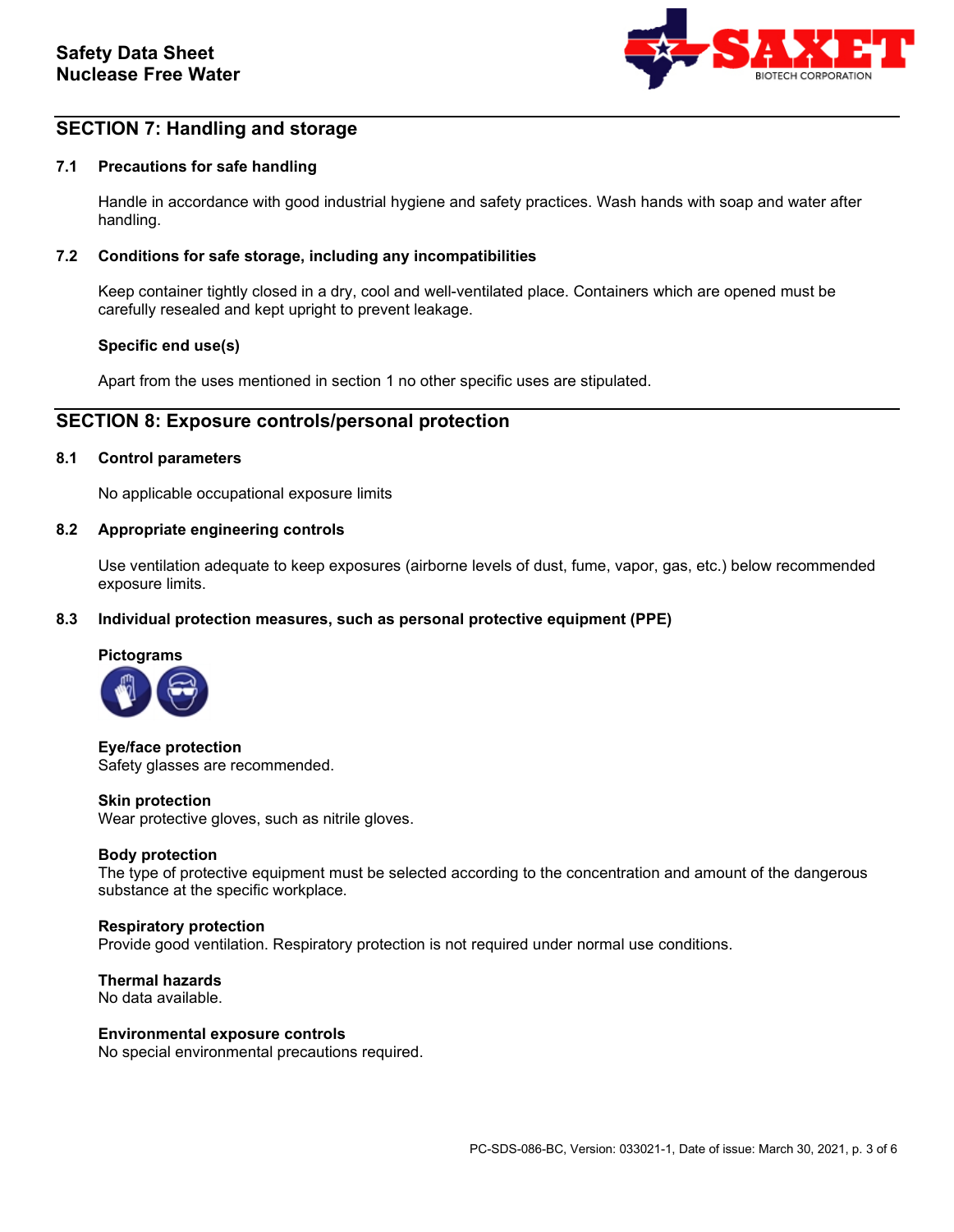

# **SECTION 7: Handling and storage**

## **7.1 Precautions for safe handling**

Handle in accordance with good industrial hygiene and safety practices. Wash hands with soap and water after handling.

## **7.2 Conditions for safe storage, including any incompatibilities**

Keep container tightly closed in a dry, cool and well-ventilated place. Containers which are opened must be carefully resealed and kept upright to prevent leakage.

#### **Specific end use(s)**

Apart from the uses mentioned in section 1 no other specific uses are stipulated.

## **SECTION 8: Exposure controls/personal protection**

### **8.1 Control parameters**

No applicable occupational exposure limits

#### **8.2 Appropriate engineering controls**

Use ventilation adequate to keep exposures (airborne levels of dust, fume, vapor, gas, etc.) below recommended exposure limits.

### **8.3 Individual protection measures, such as personal protective equipment (PPE)**



**Eye/face protection** Safety glasses are recommended.

#### **Skin protection**

Wear protective gloves, such as nitrile gloves.

#### **Body protection**

The type of protective equipment must be selected according to the concentration and amount of the dangerous substance at the specific workplace.

#### **Respiratory protection**

Provide good ventilation. Respiratory protection is not required under normal use conditions.

**Thermal hazards** No data available.

#### **Environmental exposure controls**

No special environmental precautions required.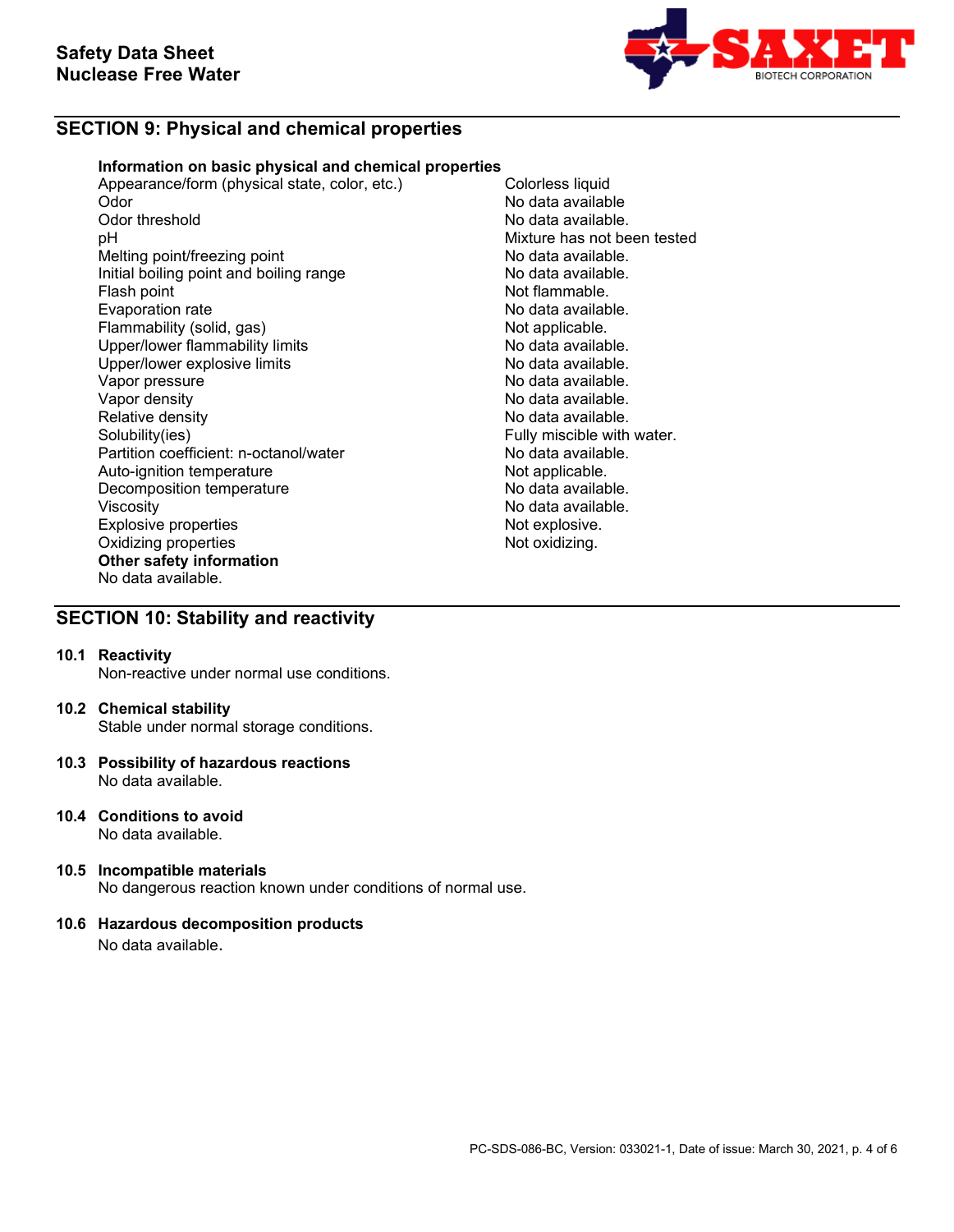

# **SECTION 9: Physical and chemical properties**

## **Information on basic physical and chemical properties**

Appearance/form (physical state, color, etc.) Colorless liquid<br>Odor Mo data availab Odor No data available Odor threshold **Odor threshold** Conservation of the Solid Australia available.<br>
Depends of the Mixture has not be Melting point/freezing point<br>
Initial boiling point and boiling range<br>
No data available. Initial boiling point and boiling range<br>Flash point Evaporation rate<br>
Flammability (solid, gas) Not applicable. Flammability (solid, gas) Not applicable.<br>
Upper/lower flammability limits No data available. Upper/lower flammability limits and the second that the No data available.<br>Upper/lower explosive limits and the No data available. Upper/lower explosive limits<br>Vapor pressure Vapor pressure<br>Vapor density de la communitative de la communitative de la construction de la communitative de la communitati<br>No data available. Vapor density<br>
Relative density<br>
Relative density<br>
No data available. Relative density<br>
Solubility(ies)<br>
Solubility(ies)<br>
Solubility(ies) Partition coefficient: n-octanol/water **No data available.**<br>Auto-ignition temperature **Note and Auto-ignition** Auto-ignition temperature and the Not applicable.<br>
Decomposition temperature Not applicable. Decomposition temperature Viscosity<br>
Explosive properties<br>
Explosive explosive explosive explosive explosive explosive explosive explosive explosive explosive explosive explosive explosive explosive explosive explosive explosive explosive explosive Explosive properties and the explosive properties of the explosive.<br>
Oxidizing properties and the explosive of the explosive. Oxidizing properties **Other safety information** No data available.

Mixture has not been tested<br>No data available. Not flammable.<br>No data available. Fully miscible with water.

# **SECTION 10: Stability and reactivity**

## **10.1 Reactivity**

Non-reactive under normal use conditions.

## **10.2 Chemical stability**

Stable under normal storage conditions.

- **10.3 Possibility of hazardous reactions** No data available.
- **10.4 Conditions to avoid** No data available.
- **10.5 Incompatible materials** No dangerous reaction known under conditions of normal use.

## **10.6 Hazardous decomposition products**

No data available.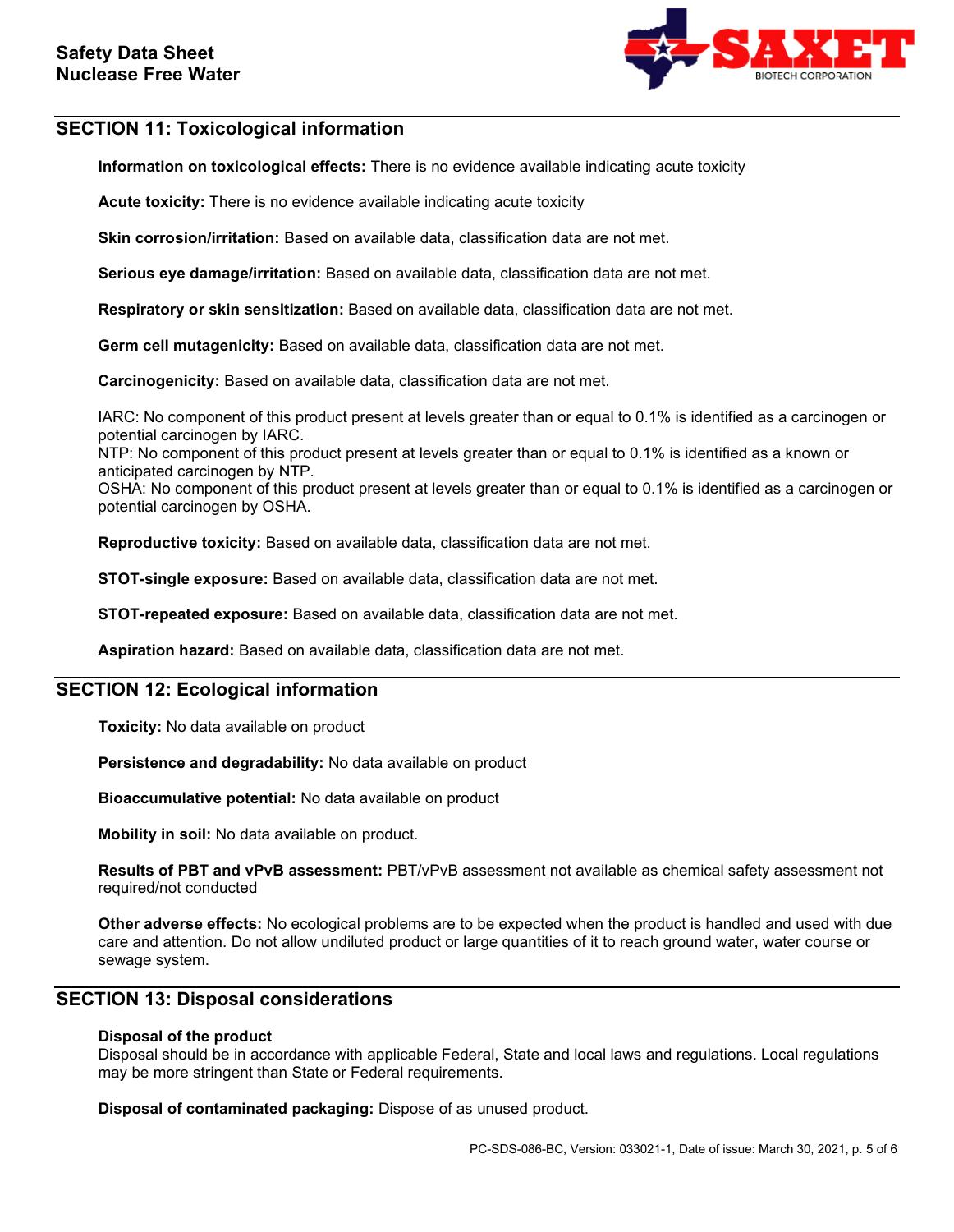

# **SECTION 11: Toxicological information**

**Information on toxicological effects:** There is no evidence available indicating acute toxicity

**Acute toxicity:** There is no evidence available indicating acute toxicity

**Skin corrosion/irritation:** Based on available data, classification data are not met.

**Serious eye damage/irritation:** Based on available data, classification data are not met.

**Respiratory or skin sensitization:** Based on available data, classification data are not met.

**Germ cell mutagenicity:** Based on available data, classification data are not met.

**Carcinogenicity:** Based on available data, classification data are not met.

IARC: No component of this product present at levels greater than or equal to 0.1% is identified as a carcinogen or potential carcinogen by IARC.

NTP: No component of this product present at levels greater than or equal to 0.1% is identified as a known or anticipated carcinogen by NTP.

OSHA: No component of this product present at levels greater than or equal to 0.1% is identified as a carcinogen or potential carcinogen by OSHA.

**Reproductive toxicity:** Based on available data, classification data are not met.

**STOT-single exposure:** Based on available data, classification data are not met.

**STOT-repeated exposure:** Based on available data, classification data are not met.

**Aspiration hazard:** Based on available data, classification data are not met.

## **SECTION 12: Ecological information**

**Toxicity:** No data available on product

**Persistence and degradability:** No data available on product

**Bioaccumulative potential:** No data available on product

**Mobility in soil:** No data available on product.

**Results of PBT and vPvB assessment:** PBT/vPvB assessment not available as chemical safety assessment not required/not conducted

**Other adverse effects:** No ecological problems are to be expected when the product is handled and used with due care and attention. Do not allow undiluted product or large quantities of it to reach ground water, water course or sewage system.

## **SECTION 13: Disposal considerations**

## **Disposal of the product**

Disposal should be in accordance with applicable Federal, State and local laws and regulations. Local regulations may be more stringent than State or Federal requirements.

**Disposal of contaminated packaging:** Dispose of as unused product.